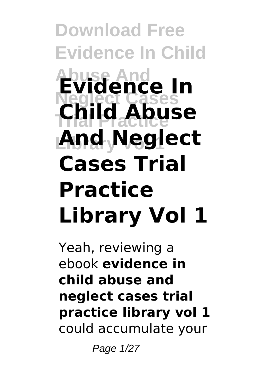**Download Free Evidence In Child Abuse And Evidence In Neglect Cases Trial Practice Child Abuse Library Vol 1 And Neglect Cases Trial Practice Library Vol 1**

Yeah, reviewing a ebook **evidence in child abuse and neglect cases trial practice library vol 1** could accumulate your

Page 1/27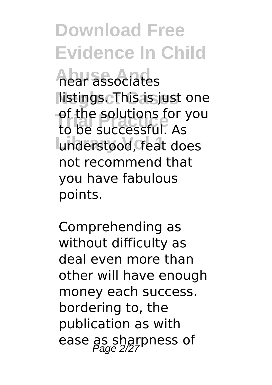**Abuse And** near associates **Neglect Cases** listings. This is just one **of the solutions for you**<br>to be successful, As understood, feat does to be successful. As not recommend that you have fabulous points.

Comprehending as without difficulty as deal even more than other will have enough money each success. bordering to, the publication as with ease as sharpness of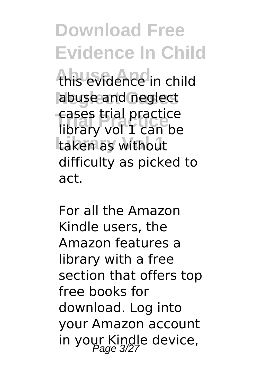this evidence in child abuse and neglect **Trial Practice** library vol 1 can be taken as without cases trial practice difficulty as picked to act.

For all the Amazon Kindle users, the Amazon features a library with a free section that offers top free books for download. Log into your Amazon account in your Kindle device,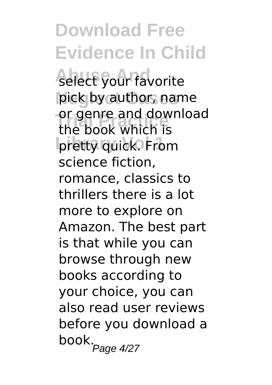select your favorite pick by author, name or genre and dow<br>the book which is pretty quick. From or genre and download science fiction, romance, classics to thrillers there is a lot more to explore on Amazon. The best part is that while you can browse through new books according to your choice, you can also read user reviews before you download a  $\overline{b}$ ook. $\overline{P}$ age 4/27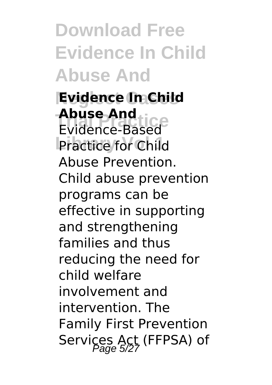**Download Free Evidence In Child Abuse And**

**Evidence In Child Abuse And<br>Evidence-Based** Practice for Child **Abuse And** Abuse Prevention. Child abuse prevention programs can be effective in supporting and strengthening families and thus reducing the need for child welfare involvement and intervention. The Family First Prevention Services Act (FFPSA) of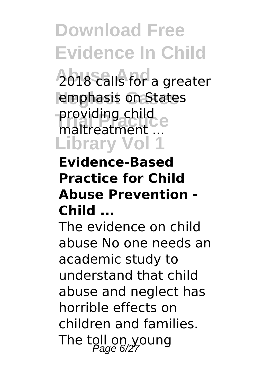**2018 calls for a greater** emphasis on States **Trial Practice** maltreatment ... **Library Vol 1** providing child

### **Evidence-Based Practice for Child Abuse Prevention - Child ...**

The evidence on child abuse No one needs an academic study to understand that child abuse and neglect has horrible effects on children and families. The toll on young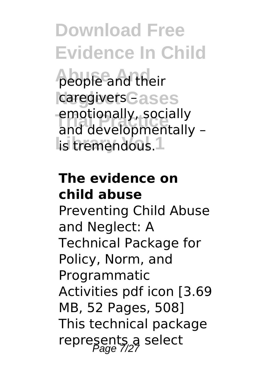**Abuse And** people and their caregivers **Cases** emotionally, socially<br>and developmentally – lis tremendous.<sup>1</sup> emotionally, socially

### **The evidence on child abuse**

Preventing Child Abuse and Neglect: A Technical Package for Policy, Norm, and Programmatic Activities pdf icon [3.69 MB, 52 Pages, 508] This technical package represents a select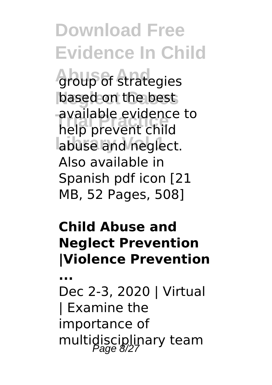**Abus** of strategies based on the best **Trial Practice** help prevent child abuse and neglect. available evidence to Also available in Spanish pdf icon [21 MB, 52 Pages, 508]

### **Child Abuse and Neglect Prevention |Violence Prevention**

**...**

Dec 2-3, 2020 | Virtual | Examine the importance of multidisciplinary team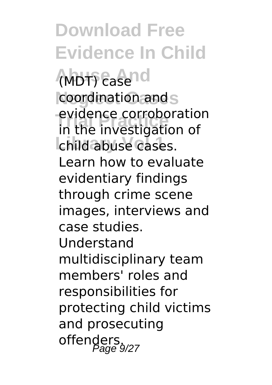**Download Free Evidence In Child (MDT)** casend coordination and s **Trial Practice** in the investigation of child abuse cases. evidence corroboration Learn how to evaluate evidentiary findings through crime scene images, interviews and case studies. Understand multidisciplinary team members' roles and responsibilities for protecting child victims and prosecuting offenders.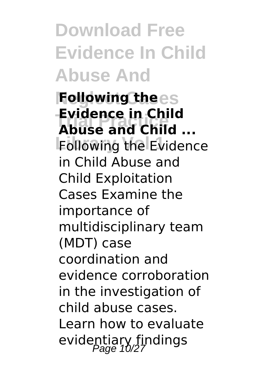**Download Free Evidence In Child Abuse And**

**Following thees Trial Practice Abuse and Child ... Following the Evidence Evidence in Child** in Child Abuse and Child Exploitation Cases Examine the importance of multidisciplinary team (MDT) case coordination and evidence corroboration in the investigation of child abuse cases. Learn how to evaluate evidentiary findings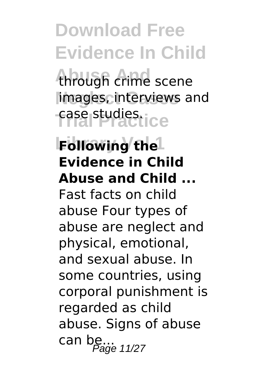through crime scene images, interviews and **Trial Practice** case studies.

**Following the Evidence in Child Abuse and Child ...** Fast facts on child abuse Four types of abuse are neglect and physical, emotional, and sexual abuse. In some countries, using corporal punishment is regarded as child abuse. Signs of abuse can be...  $P_{\text{age 11/27}}$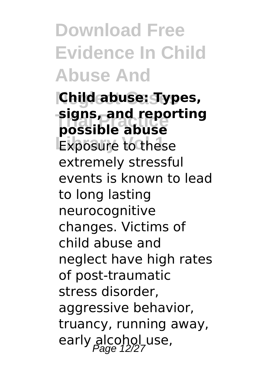**Download Free Evidence In Child Abuse And**

## **Neglect Cases Child abuse: Types, Trial Practice possible abuse signs, and reporting**

**Exposure to these** extremely stressful events is known to lead to long lasting neurocognitive changes. Victims of child abuse and neglect have high rates of post-traumatic stress disorder, aggressive behavior, truancy, running away, early alcohol use,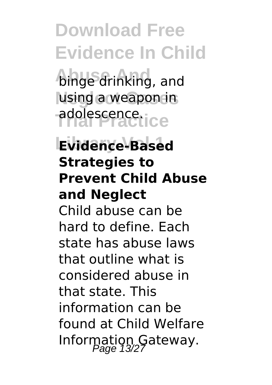**binge drinking**, and **Neglect Cases** using a weapon in **Trial Practice** adolescence.

## **Library Vol 1 Evidence-Based Strategies to Prevent Child Abuse and Neglect**

Child abuse can be hard to define. Each state has abuse laws that outline what is considered abuse in that state. This information can be found at Child Welfare Information Gateway.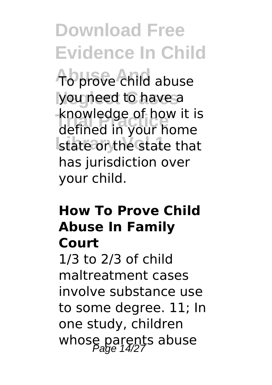**Abuse And** To prove child abuse you need to have a **Trial Properties**<br>defined in your home state or the state that knowledge of how it is has jurisdiction over your child.

#### **How To Prove Child Abuse In Family Court**

1/3 to 2/3 of child maltreatment cases involve substance use to some degree. 11; In one study, children whose parents abuse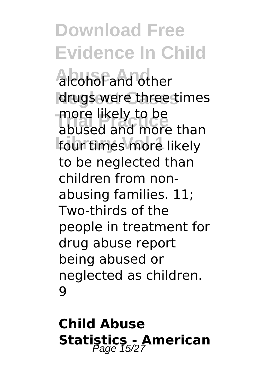**Alcohol and other** drugs were three times **The likely to be**<br>abused and more four times more likely abused and more than to be neglected than children from nonabusing families. 11; Two-thirds of the people in treatment for drug abuse report being abused or neglected as children. 9

**Child Abuse Statistics - American**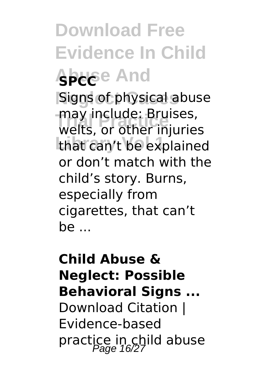**Download Free Evidence In Child Abelge And Signs of physical abuse** may include: Bruises,<br>welts, or other injuries that can't be explained may include: Bruises, or don't match with the child's story. Burns, especially from cigarettes, that can't be ...

## **Child Abuse & Neglect: Possible Behavioral Signs ...** Download Citation | Evidence-based practice in child abuse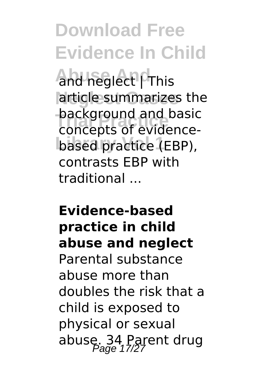**Abuse And** and neglect | This article summarizes the **Trial Practice** concepts of evidencebased practice (EBP), background and basic contrasts EBP with traditional ...

### **Evidence-based practice in child abuse and neglect**

Parental substance abuse more than doubles the risk that a child is exposed to physical or sexual abuse. 34, Parent drug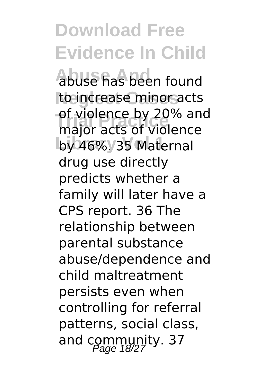**Abuse And** abuse has been found to increase minor acts **Trial Practice** major acts of violence by 46%. 35 Maternal of violence by 20% and drug use directly predicts whether a family will later have a CPS report. 36 The relationship between parental substance abuse/dependence and child maltreatment persists even when controlling for referral patterns, social class, and community. 37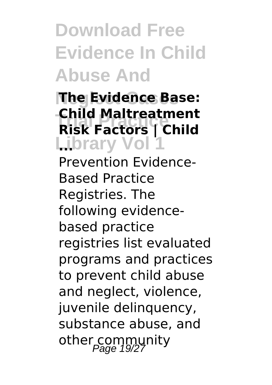**Download Free Evidence In Child Abuse And**

### **The Evidence Base: Trial Practice Risk Factors | Child Library Vol 1 ... Child Maltreatment**

Prevention Evidence-Based Practice Registries. The following evidencebased practice registries list evaluated programs and practices to prevent child abuse and neglect, violence, juvenile delinquency, substance abuse, and other community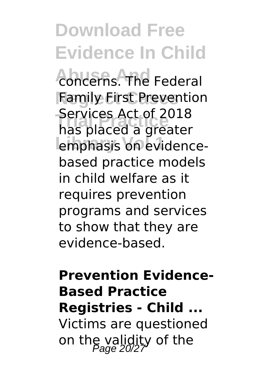**Abuse And** concerns. The Federal **Family First Prevention Trial Practice** has placed a greater emphasis on evidence-Services Act of 2018 based practice models in child welfare as it requires prevention programs and services to show that they are evidence-based.

## **Prevention Evidence-Based Practice Registries - Child ...** Victims are questioned on the validity of the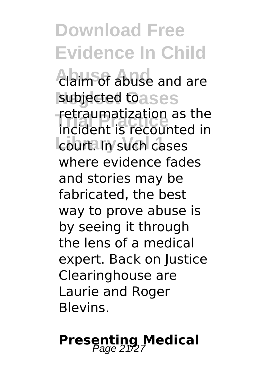**Download Free Evidence In Child Abuse And** claim of abuse and are subjected toases retraumatization as the<br>incident is recounted in court. In such cases retraumatization as the where evidence fades and stories may be fabricated, the best way to prove abuse is by seeing it through the lens of a medical expert. Back on Justice Clearinghouse are Laurie and Roger Blevins.

## **Presenting Medical**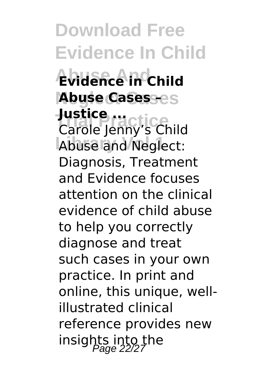**Download Free Evidence In Child Abuse And Evidence in Child Neglect Cases Abuse Cases – Justice ...**<br>Carole leppy's CH Abuse and Neglect: Carole Jenny's Child Diagnosis, Treatment and Evidence focuses attention on the clinical evidence of child abuse to help you correctly diagnose and treat such cases in your own practice. In print and online, this unique, wellillustrated clinical reference provides new insights into the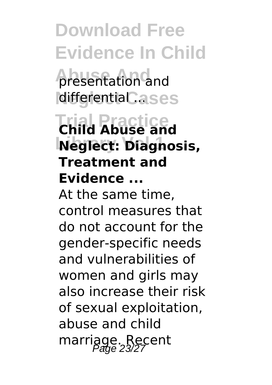*<u>Aresentation</u>* and **differential ...ses** 

## **Trial Practice Child Abuse and Library Vol 1 Neglect: Diagnosis, Treatment and Evidence ...**

At the same time, control measures that do not account for the gender-specific needs and vulnerabilities of women and girls may also increase their risk of sexual exploitation, abuse and child marriage. Recent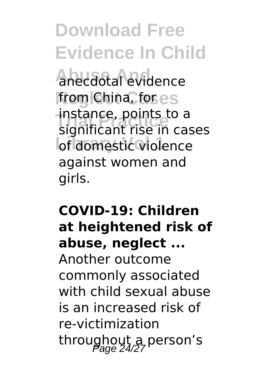**Abuse And** anecdotal evidence **from China, fores Trial Practice** significant rise in cases of domestic violence instance, points to a against women and girls.

## **COVID-19: Children at heightened risk of abuse, neglect ...** Another outcome commonly associated with child sexual abuse is an increased risk of re-victimization throughout a person's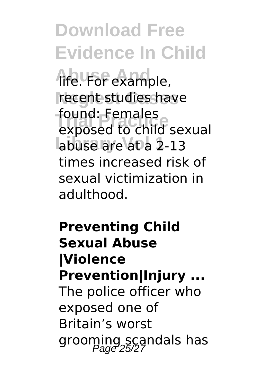**Abuse And** life. For example, recent studies have **Tound: Females**<br>exposed to child sexual abuse are at a 2-13 found: Females times increased risk of sexual victimization in adulthood.

**Preventing Child Sexual Abuse |Violence Prevention|Injury ...** The police officer who exposed one of Britain's worst grooming scandals has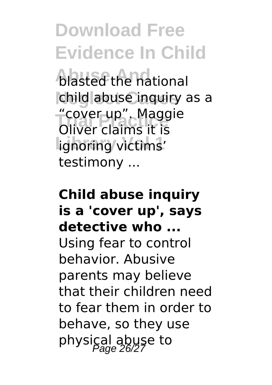**blasted the national** child abuse inquiry as a **Trial Practice** "cover up". Maggie **lignoring** victims' Oliver claims it is testimony ...

## **Child abuse inquiry is a 'cover up', says detective who ...** Using fear to control behavior. Abusive parents may believe that their children need to fear them in order to behave, so they use physical abuse to